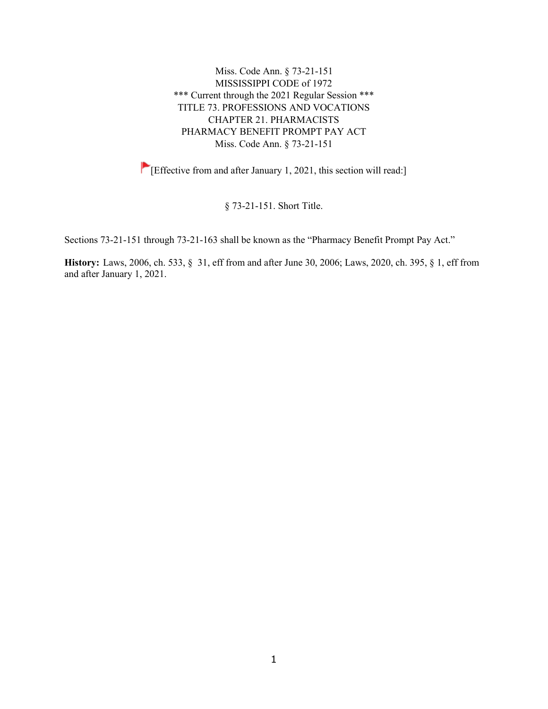Miss. Code Ann. § 73-21-151 MISSISSIPPI CODE of 1972 \*\*\* Current through the 2021 Regular Session \*\*\* TITLE 73. PROFESSIONS AND VOCATIONS CHAPTER 21. PHARMACISTS PHARMACY BENEFIT PROMPT PAY ACT Miss. Code Ann. § 73-21-151

[Effective from and after January 1, 2021, this section will read:]

§ 73-21-151. Short Title.

Sections 73-21-151 through 73-21-163 shall be known as the "Pharmacy Benefit Prompt Pay Act."

**History:** Laws, 2006, ch. 533, § 31, eff from and after June 30, 2006; Laws, 2020, ch. 395, § 1, eff from and after January 1, 2021.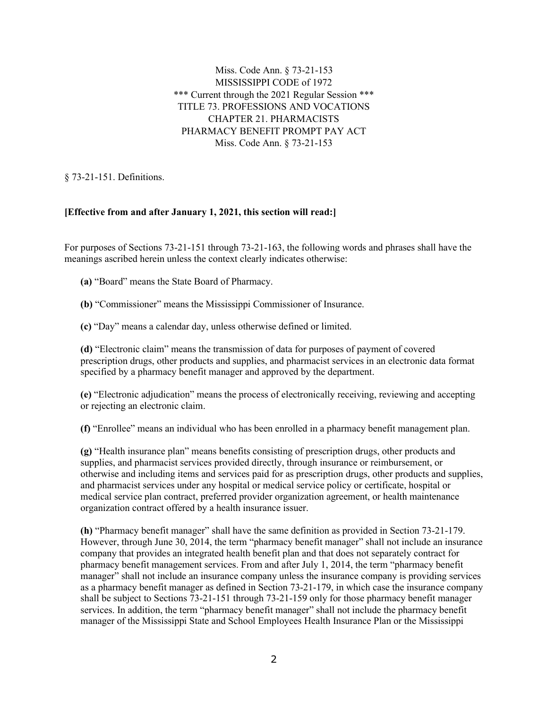Miss. Code Ann. § 73-21-153 MISSISSIPPI CODE of 1972 \*\*\* Current through the 2021 Regular Session \*\*\* TITLE 73. PROFESSIONS AND VOCATIONS CHAPTER 21. PHARMACISTS PHARMACY BENEFIT PROMPT PAY ACT Miss. Code Ann. § 73-21-153

§ 73-21-151. Definitions.

## **[Effective from and after January 1, 2021, this section will read:]**

For purposes of Sections 73-21-151 through 73-21-163, the following words and phrases shall have the meanings ascribed herein unless the context clearly indicates otherwise:

**(a)** "Board" means the State Board of Pharmacy.

**(b)** "Commissioner" means the Mississippi Commissioner of Insurance.

**(c)** "Day" means a calendar day, unless otherwise defined or limited.

**(d)** "Electronic claim" means the transmission of data for purposes of payment of covered prescription drugs, other products and supplies, and pharmacist services in an electronic data format specified by a pharmacy benefit manager and approved by the department.

**(e)** "Electronic adjudication" means the process of electronically receiving, reviewing and accepting or rejecting an electronic claim.

**(f)** "Enrollee" means an individual who has been enrolled in a pharmacy benefit management plan.

**(g)** "Health insurance plan" means benefits consisting of prescription drugs, other products and supplies, and pharmacist services provided directly, through insurance or reimbursement, or otherwise and including items and services paid for as prescription drugs, other products and supplies, and pharmacist services under any hospital or medical service policy or certificate, hospital or medical service plan contract, preferred provider organization agreement, or health maintenance organization contract offered by a health insurance issuer.

**(h)** "Pharmacy benefit manager" shall have the same definition as provided in Section 73-21-179. However, through June 30, 2014, the term "pharmacy benefit manager" shall not include an insurance company that provides an integrated health benefit plan and that does not separately contract for pharmacy benefit management services. From and after July 1, 2014, the term "pharmacy benefit manager" shall not include an insurance company unless the insurance company is providing services as a pharmacy benefit manager as defined in Section 73-21-179, in which case the insurance company shall be subject to Sections 73-21-151 through 73-21-159 only for those pharmacy benefit manager services. In addition, the term "pharmacy benefit manager" shall not include the pharmacy benefit manager of the Mississippi State and School Employees Health Insurance Plan or the Mississippi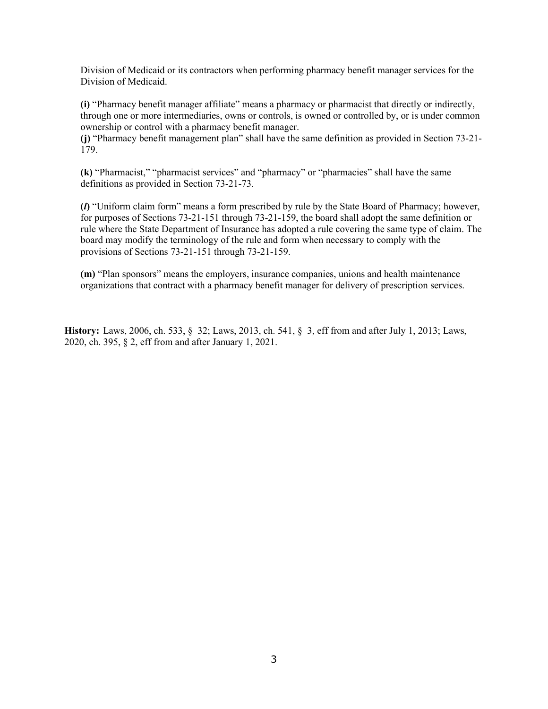Division of Medicaid or its contractors when performing pharmacy benefit manager services for the Division of Medicaid.

**(i)** "Pharmacy benefit manager affiliate" means a pharmacy or pharmacist that directly or indirectly, through one or more intermediaries, owns or controls, is owned or controlled by, or is under common ownership or control with a pharmacy benefit manager.

**(j)** "Pharmacy benefit management plan" shall have the same definition as provided in Section 73-21- 179.

**(k)** "Pharmacist," "pharmacist services" and "pharmacy" or "pharmacies" shall have the same definitions as provided in Section 73-21-73.

**(***l***)** "Uniform claim form" means a form prescribed by rule by the State Board of Pharmacy; however, for purposes of Sections 73-21-151 through 73-21-159, the board shall adopt the same definition or rule where the State Department of Insurance has adopted a rule covering the same type of claim. The board may modify the terminology of the rule and form when necessary to comply with the provisions of Sections 73-21-151 through 73-21-159.

**(m)** "Plan sponsors" means the employers, insurance companies, unions and health maintenance organizations that contract with a pharmacy benefit manager for delivery of prescription services.

**History:** Laws, 2006, ch. 533, § 32; Laws, 2013, ch. 541, § 3, eff from and after July 1, 2013; Laws, 2020, ch. 395, § 2, eff from and after January 1, 2021.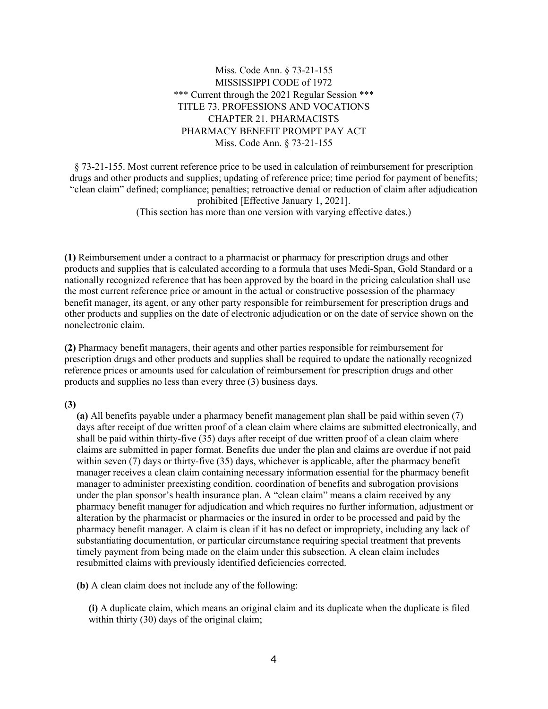# Miss. Code Ann. § 73-21-155 MISSISSIPPI CODE of 1972 \*\*\* Current through the 2021 Regular Session \*\*\* TITLE 73. PROFESSIONS AND VOCATIONS CHAPTER 21. PHARMACISTS PHARMACY BENEFIT PROMPT PAY ACT Miss. Code Ann. § 73-21-155

§ 73-21-155. Most current reference price to be used in calculation of reimbursement for prescription drugs and other products and supplies; updating of reference price; time period for payment of benefits; "clean claim" defined; compliance; penalties; retroactive denial or reduction of claim after adjudication prohibited [Effective January 1, 2021]. (This section has more than one version with varying effective dates.)

**(1)** Reimbursement under a contract to a pharmacist or pharmacy for prescription drugs and other products and supplies that is calculated according to a formula that uses Medi-Span, Gold Standard or a nationally recognized reference that has been approved by the board in the pricing calculation shall use the most current reference price or amount in the actual or constructive possession of the pharmacy benefit manager, its agent, or any other party responsible for reimbursement for prescription drugs and other products and supplies on the date of electronic adjudication or on the date of service shown on the nonelectronic claim.

**(2)** Pharmacy benefit managers, their agents and other parties responsible for reimbursement for prescription drugs and other products and supplies shall be required to update the nationally recognized reference prices or amounts used for calculation of reimbursement for prescription drugs and other products and supplies no less than every three (3) business days.

#### **(3)**

**(a)** All benefits payable under a pharmacy benefit management plan shall be paid within seven (7) days after receipt of due written proof of a clean claim where claims are submitted electronically, and shall be paid within thirty-five (35) days after receipt of due written proof of a clean claim where claims are submitted in paper format. Benefits due under the plan and claims are overdue if not paid within seven (7) days or thirty-five (35) days, whichever is applicable, after the pharmacy benefit manager receives a clean claim containing necessary information essential for the pharmacy benefit manager to administer preexisting condition, coordination of benefits and subrogation provisions under the plan sponsor's health insurance plan. A "clean claim" means a claim received by any pharmacy benefit manager for adjudication and which requires no further information, adjustment or alteration by the pharmacist or pharmacies or the insured in order to be processed and paid by the pharmacy benefit manager. A claim is clean if it has no defect or impropriety, including any lack of substantiating documentation, or particular circumstance requiring special treatment that prevents timely payment from being made on the claim under this subsection. A clean claim includes resubmitted claims with previously identified deficiencies corrected.

**(b)** A clean claim does not include any of the following:

**(i)** A duplicate claim, which means an original claim and its duplicate when the duplicate is filed within thirty (30) days of the original claim;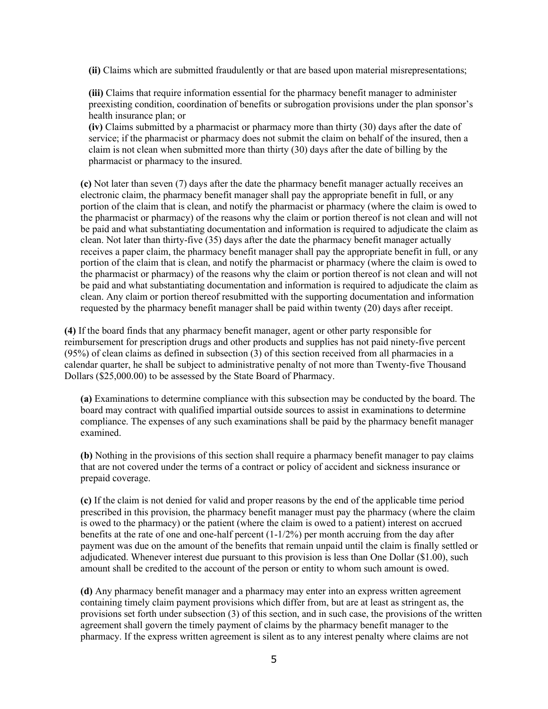**(ii)** Claims which are submitted fraudulently or that are based upon material misrepresentations;

**(iii)** Claims that require information essential for the pharmacy benefit manager to administer preexisting condition, coordination of benefits or subrogation provisions under the plan sponsor's health insurance plan; or

**(iv)** Claims submitted by a pharmacist or pharmacy more than thirty (30) days after the date of service; if the pharmacist or pharmacy does not submit the claim on behalf of the insured, then a claim is not clean when submitted more than thirty (30) days after the date of billing by the pharmacist or pharmacy to the insured.

**(c)** Not later than seven (7) days after the date the pharmacy benefit manager actually receives an electronic claim, the pharmacy benefit manager shall pay the appropriate benefit in full, or any portion of the claim that is clean, and notify the pharmacist or pharmacy (where the claim is owed to the pharmacist or pharmacy) of the reasons why the claim or portion thereof is not clean and will not be paid and what substantiating documentation and information is required to adjudicate the claim as clean. Not later than thirty-five (35) days after the date the pharmacy benefit manager actually receives a paper claim, the pharmacy benefit manager shall pay the appropriate benefit in full, or any portion of the claim that is clean, and notify the pharmacist or pharmacy (where the claim is owed to the pharmacist or pharmacy) of the reasons why the claim or portion thereof is not clean and will not be paid and what substantiating documentation and information is required to adjudicate the claim as clean. Any claim or portion thereof resubmitted with the supporting documentation and information requested by the pharmacy benefit manager shall be paid within twenty (20) days after receipt.

**(4)** If the board finds that any pharmacy benefit manager, agent or other party responsible for reimbursement for prescription drugs and other products and supplies has not paid ninety-five percent (95%) of clean claims as defined in subsection (3) of this section received from all pharmacies in a calendar quarter, he shall be subject to administrative penalty of not more than Twenty-five Thousand Dollars (\$25,000.00) to be assessed by the State Board of Pharmacy.

**(a)** Examinations to determine compliance with this subsection may be conducted by the board. The board may contract with qualified impartial outside sources to assist in examinations to determine compliance. The expenses of any such examinations shall be paid by the pharmacy benefit manager examined.

**(b)** Nothing in the provisions of this section shall require a pharmacy benefit manager to pay claims that are not covered under the terms of a contract or policy of accident and sickness insurance or prepaid coverage.

**(c)** If the claim is not denied for valid and proper reasons by the end of the applicable time period prescribed in this provision, the pharmacy benefit manager must pay the pharmacy (where the claim is owed to the pharmacy) or the patient (where the claim is owed to a patient) interest on accrued benefits at the rate of one and one-half percent  $(1-1/2%)$  per month accruing from the day after payment was due on the amount of the benefits that remain unpaid until the claim is finally settled or adjudicated. Whenever interest due pursuant to this provision is less than One Dollar (\$1.00), such amount shall be credited to the account of the person or entity to whom such amount is owed.

**(d)** Any pharmacy benefit manager and a pharmacy may enter into an express written agreement containing timely claim payment provisions which differ from, but are at least as stringent as, the provisions set forth under subsection (3) of this section, and in such case, the provisions of the written agreement shall govern the timely payment of claims by the pharmacy benefit manager to the pharmacy. If the express written agreement is silent as to any interest penalty where claims are not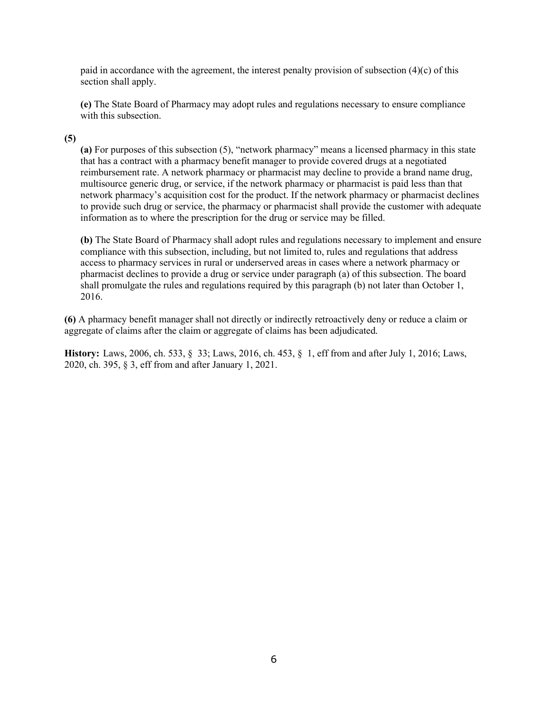paid in accordance with the agreement, the interest penalty provision of subsection  $(4)(c)$  of this section shall apply.

**(e)** The State Board of Pharmacy may adopt rules and regulations necessary to ensure compliance with this subsection.

## **(5)**

**(a)** For purposes of this subsection (5), "network pharmacy" means a licensed pharmacy in this state that has a contract with a pharmacy benefit manager to provide covered drugs at a negotiated reimbursement rate. A network pharmacy or pharmacist may decline to provide a brand name drug, multisource generic drug, or service, if the network pharmacy or pharmacist is paid less than that network pharmacy's acquisition cost for the product. If the network pharmacy or pharmacist declines to provide such drug or service, the pharmacy or pharmacist shall provide the customer with adequate information as to where the prescription for the drug or service may be filled.

**(b)** The State Board of Pharmacy shall adopt rules and regulations necessary to implement and ensure compliance with this subsection, including, but not limited to, rules and regulations that address access to pharmacy services in rural or underserved areas in cases where a network pharmacy or pharmacist declines to provide a drug or service under paragraph (a) of this subsection. The board shall promulgate the rules and regulations required by this paragraph (b) not later than October 1, 2016.

**(6)** A pharmacy benefit manager shall not directly or indirectly retroactively deny or reduce a claim or aggregate of claims after the claim or aggregate of claims has been adjudicated.

**History:** Laws, 2006, ch. 533, § 33; Laws, 2016, ch. 453, § 1, eff from and after July 1, 2016; Laws, 2020, ch. 395, § 3, eff from and after January 1, 2021.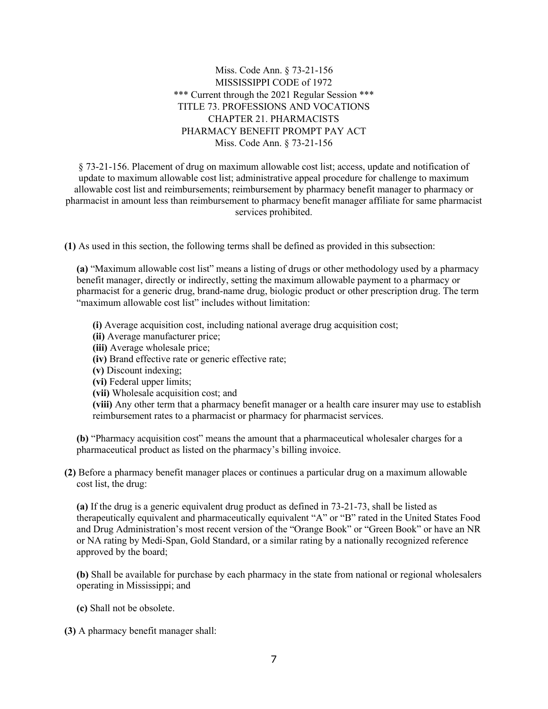Miss. Code Ann. § 73-21-156 MISSISSIPPI CODE of 1972 \*\*\* Current through the 2021 Regular Session \*\*\* TITLE 73. PROFESSIONS AND VOCATIONS CHAPTER 21. PHARMACISTS PHARMACY BENEFIT PROMPT PAY ACT Miss. Code Ann. § 73-21-156

§ 73-21-156. Placement of drug on maximum allowable cost list; access, update and notification of update to maximum allowable cost list; administrative appeal procedure for challenge to maximum allowable cost list and reimbursements; reimbursement by pharmacy benefit manager to pharmacy or pharmacist in amount less than reimbursement to pharmacy benefit manager affiliate for same pharmacist services prohibited.

**(1)** As used in this section, the following terms shall be defined as provided in this subsection:

**(a)** "Maximum allowable cost list" means a listing of drugs or other methodology used by a pharmacy benefit manager, directly or indirectly, setting the maximum allowable payment to a pharmacy or pharmacist for a generic drug, brand-name drug, biologic product or other prescription drug. The term "maximum allowable cost list" includes without limitation:

**(i)** Average acquisition cost, including national average drug acquisition cost;

- **(ii)** Average manufacturer price;
- **(iii)** Average wholesale price;
- **(iv)** Brand effective rate or generic effective rate;
- **(v)** Discount indexing;
- **(vi)** Federal upper limits;
- **(vii)** Wholesale acquisition cost; and

**(viii)** Any other term that a pharmacy benefit manager or a health care insurer may use to establish reimbursement rates to a pharmacist or pharmacy for pharmacist services.

**(b)** "Pharmacy acquisition cost" means the amount that a pharmaceutical wholesaler charges for a pharmaceutical product as listed on the pharmacy's billing invoice.

**(2)** Before a pharmacy benefit manager places or continues a particular drug on a maximum allowable cost list, the drug:

**(a)** If the drug is a generic equivalent drug product as defined in 73-21-73, shall be listed as therapeutically equivalent and pharmaceutically equivalent "A" or "B" rated in the United States Food and Drug Administration's most recent version of the "Orange Book" or "Green Book" or have an NR or NA rating by Medi-Span, Gold Standard, or a similar rating by a nationally recognized reference approved by the board;

**(b)** Shall be available for purchase by each pharmacy in the state from national or regional wholesalers operating in Mississippi; and

**(c)** Shall not be obsolete.

**(3)** A pharmacy benefit manager shall: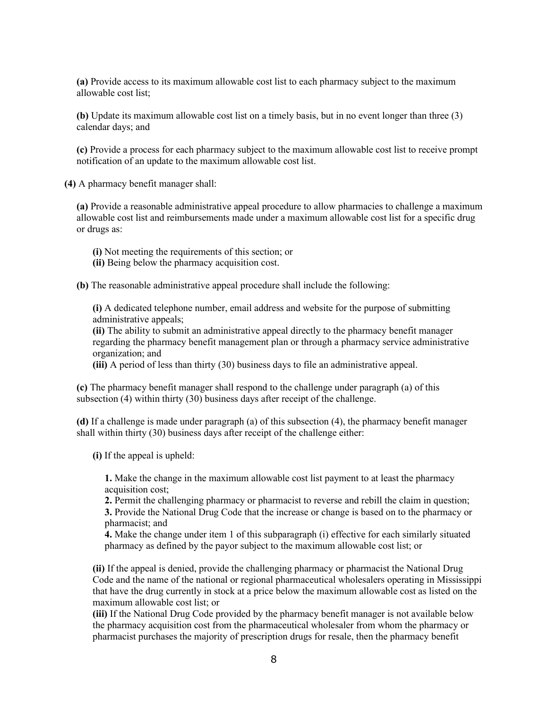**(a)** Provide access to its maximum allowable cost list to each pharmacy subject to the maximum allowable cost list;

**(b)** Update its maximum allowable cost list on a timely basis, but in no event longer than three (3) calendar days; and

**(c)** Provide a process for each pharmacy subject to the maximum allowable cost list to receive prompt notification of an update to the maximum allowable cost list.

**(4)** A pharmacy benefit manager shall:

**(a)** Provide a reasonable administrative appeal procedure to allow pharmacies to challenge a maximum allowable cost list and reimbursements made under a maximum allowable cost list for a specific drug or drugs as:

- **(i)** Not meeting the requirements of this section; or
- **(ii)** Being below the pharmacy acquisition cost.

**(b)** The reasonable administrative appeal procedure shall include the following:

**(i)** A dedicated telephone number, email address and website for the purpose of submitting administrative appeals;

**(ii)** The ability to submit an administrative appeal directly to the pharmacy benefit manager regarding the pharmacy benefit management plan or through a pharmacy service administrative organization; and

**(iii)** A period of less than thirty (30) business days to file an administrative appeal.

**(c)** The pharmacy benefit manager shall respond to the challenge under paragraph (a) of this subsection (4) within thirty (30) business days after receipt of the challenge.

**(d)** If a challenge is made under paragraph (a) of this subsection (4), the pharmacy benefit manager shall within thirty (30) business days after receipt of the challenge either:

**(i)** If the appeal is upheld:

**1.** Make the change in the maximum allowable cost list payment to at least the pharmacy acquisition cost;

**2.** Permit the challenging pharmacy or pharmacist to reverse and rebill the claim in question;

**3.** Provide the National Drug Code that the increase or change is based on to the pharmacy or pharmacist; and

**4.** Make the change under item 1 of this subparagraph (i) effective for each similarly situated pharmacy as defined by the payor subject to the maximum allowable cost list; or

**(ii)** If the appeal is denied, provide the challenging pharmacy or pharmacist the National Drug Code and the name of the national or regional pharmaceutical wholesalers operating in Mississippi that have the drug currently in stock at a price below the maximum allowable cost as listed on the maximum allowable cost list; or

**(iii)** If the National Drug Code provided by the pharmacy benefit manager is not available below the pharmacy acquisition cost from the pharmaceutical wholesaler from whom the pharmacy or pharmacist purchases the majority of prescription drugs for resale, then the pharmacy benefit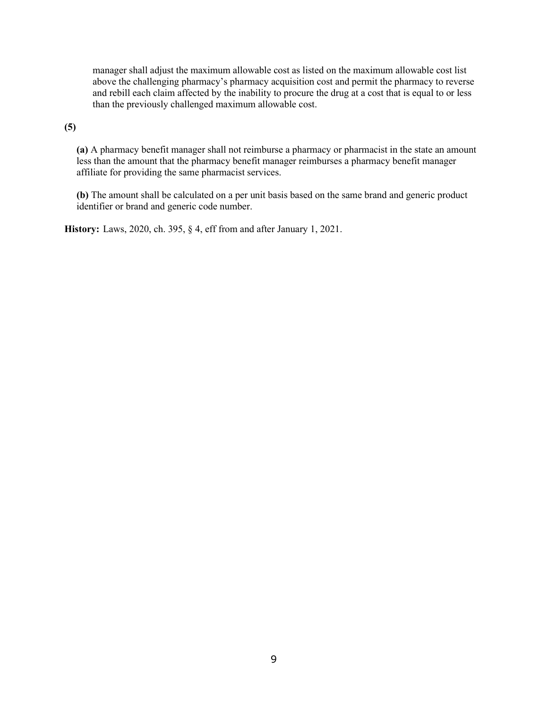manager shall adjust the maximum allowable cost as listed on the maximum allowable cost list above the challenging pharmacy's pharmacy acquisition cost and permit the pharmacy to reverse and rebill each claim affected by the inability to procure the drug at a cost that is equal to or less than the previously challenged maximum allowable cost.

## **(5)**

**(a)** A pharmacy benefit manager shall not reimburse a pharmacy or pharmacist in the state an amount less than the amount that the pharmacy benefit manager reimburses a pharmacy benefit manager affiliate for providing the same pharmacist services.

**(b)** The amount shall be calculated on a per unit basis based on the same brand and generic product identifier or brand and generic code number.

**History:** Laws, 2020, ch. 395, § 4, eff from and after January 1, 2021.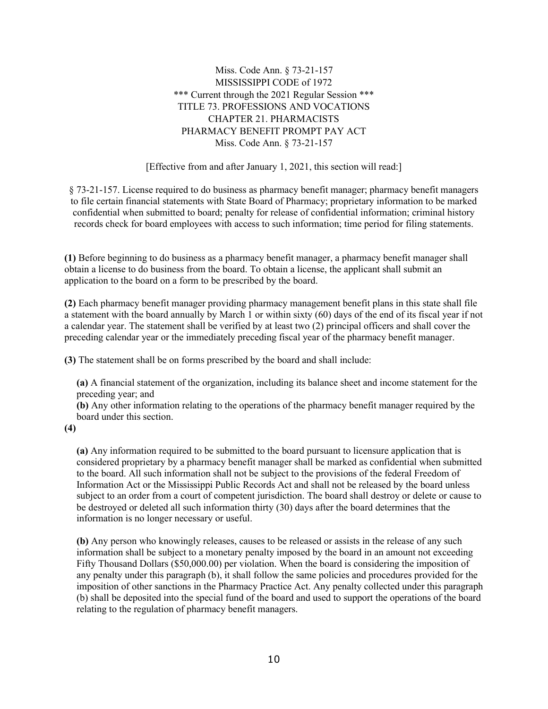Miss. Code Ann. § 73-21-157 MISSISSIPPI CODE of 1972 \*\*\* Current through the 2021 Regular Session \*\*\* TITLE 73. PROFESSIONS AND VOCATIONS CHAPTER 21. PHARMACISTS PHARMACY BENEFIT PROMPT PAY ACT Miss. Code Ann. § 73-21-157

[Effective from and after January 1, 2021, this section will read:]

§ 73-21-157. License required to do business as pharmacy benefit manager; pharmacy benefit managers to file certain financial statements with State Board of Pharmacy; proprietary information to be marked confidential when submitted to board; penalty for release of confidential information; criminal history records check for board employees with access to such information; time period for filing statements.

**(1)** Before beginning to do business as a pharmacy benefit manager, a pharmacy benefit manager shall obtain a license to do business from the board. To obtain a license, the applicant shall submit an application to the board on a form to be prescribed by the board.

**(2)** Each pharmacy benefit manager providing pharmacy management benefit plans in this state shall file a statement with the board annually by March 1 or within sixty (60) days of the end of its fiscal year if not a calendar year. The statement shall be verified by at least two (2) principal officers and shall cover the preceding calendar year or the immediately preceding fiscal year of the pharmacy benefit manager.

**(3)** The statement shall be on forms prescribed by the board and shall include:

**(a)** A financial statement of the organization, including its balance sheet and income statement for the preceding year; and

**(b)** Any other information relating to the operations of the pharmacy benefit manager required by the board under this section.

**(4)**

**(a)** Any information required to be submitted to the board pursuant to licensure application that is considered proprietary by a pharmacy benefit manager shall be marked as confidential when submitted to the board. All such information shall not be subject to the provisions of the federal Freedom of Information Act or the Mississippi Public Records Act and shall not be released by the board unless subject to an order from a court of competent jurisdiction. The board shall destroy or delete or cause to be destroyed or deleted all such information thirty (30) days after the board determines that the information is no longer necessary or useful.

**(b)** Any person who knowingly releases, causes to be released or assists in the release of any such information shall be subject to a monetary penalty imposed by the board in an amount not exceeding Fifty Thousand Dollars (\$50,000.00) per violation. When the board is considering the imposition of any penalty under this paragraph (b), it shall follow the same policies and procedures provided for the imposition of other sanctions in the Pharmacy Practice Act. Any penalty collected under this paragraph (b) shall be deposited into the special fund of the board and used to support the operations of the board relating to the regulation of pharmacy benefit managers.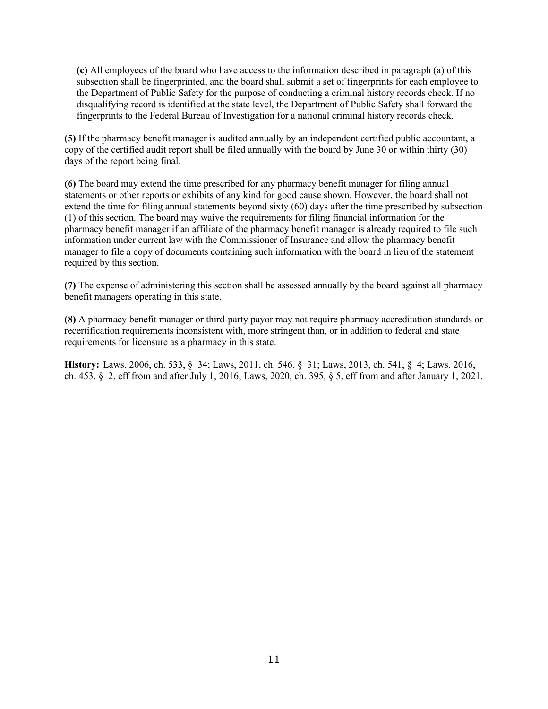**(c)** All employees of the board who have access to the information described in paragraph (a) of this subsection shall be fingerprinted, and the board shall submit a set of fingerprints for each employee to the Department of Public Safety for the purpose of conducting a criminal history records check. If no disqualifying record is identified at the state level, the Department of Public Safety shall forward the fingerprints to the Federal Bureau of Investigation for a national criminal history records check.

**(5)** If the pharmacy benefit manager is audited annually by an independent certified public accountant, a copy of the certified audit report shall be filed annually with the board by June 30 or within thirty (30) days of the report being final.

**(6)** The board may extend the time prescribed for any pharmacy benefit manager for filing annual statements or other reports or exhibits of any kind for good cause shown. However, the board shall not extend the time for filing annual statements beyond sixty (60) days after the time prescribed by subsection (1) of this section. The board may waive the requirements for filing financial information for the pharmacy benefit manager if an affiliate of the pharmacy benefit manager is already required to file such information under current law with the Commissioner of Insurance and allow the pharmacy benefit manager to file a copy of documents containing such information with the board in lieu of the statement required by this section.

**(7)** The expense of administering this section shall be assessed annually by the board against all pharmacy benefit managers operating in this state.

**(8)** A pharmacy benefit manager or third-party payor may not require pharmacy accreditation standards or recertification requirements inconsistent with, more stringent than, or in addition to federal and state requirements for licensure as a pharmacy in this state.

**History:** Laws, 2006, ch. 533, § 34; Laws, 2011, ch. 546, § 31; Laws, 2013, ch. 541, § 4; Laws, 2016, ch. 453, § 2, eff from and after July 1, 2016; Laws, 2020, ch. 395, § 5, eff from and after January 1, 2021.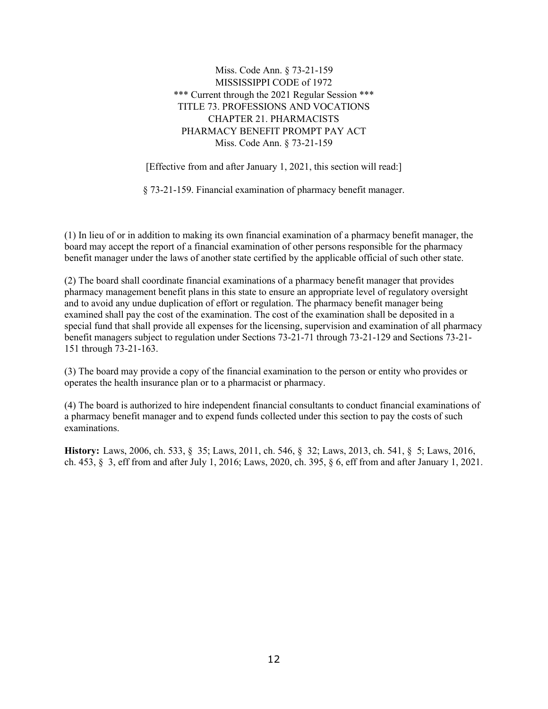Miss. Code Ann. § 73-21-159 MISSISSIPPI CODE of 1972 \*\*\* Current through the 2021 Regular Session \*\*\* TITLE 73. PROFESSIONS AND VOCATIONS CHAPTER 21. PHARMACISTS PHARMACY BENEFIT PROMPT PAY ACT Miss. Code Ann. § 73-21-159

[Effective from and after January 1, 2021, this section will read:]

§ 73-21-159. Financial examination of pharmacy benefit manager.

(1) In lieu of or in addition to making its own financial examination of a pharmacy benefit manager, the board may accept the report of a financial examination of other persons responsible for the pharmacy benefit manager under the laws of another state certified by the applicable official of such other state.

(2) The board shall coordinate financial examinations of a pharmacy benefit manager that provides pharmacy management benefit plans in this state to ensure an appropriate level of regulatory oversight and to avoid any undue duplication of effort or regulation. The pharmacy benefit manager being examined shall pay the cost of the examination. The cost of the examination shall be deposited in a special fund that shall provide all expenses for the licensing, supervision and examination of all pharmacy benefit managers subject to regulation under Sections 73-21-71 through 73-21-129 and Sections 73-21- 151 through 73-21-163.

(3) The board may provide a copy of the financial examination to the person or entity who provides or operates the health insurance plan or to a pharmacist or pharmacy.

(4) The board is authorized to hire independent financial consultants to conduct financial examinations of a pharmacy benefit manager and to expend funds collected under this section to pay the costs of such examinations.

**History:** Laws, 2006, ch. 533, § 35; Laws, 2011, ch. 546, § 32; Laws, 2013, ch. 541, § 5; Laws, 2016, ch. 453, § 3, eff from and after July 1, 2016; Laws, 2020, ch. 395, § 6, eff from and after January 1, 2021.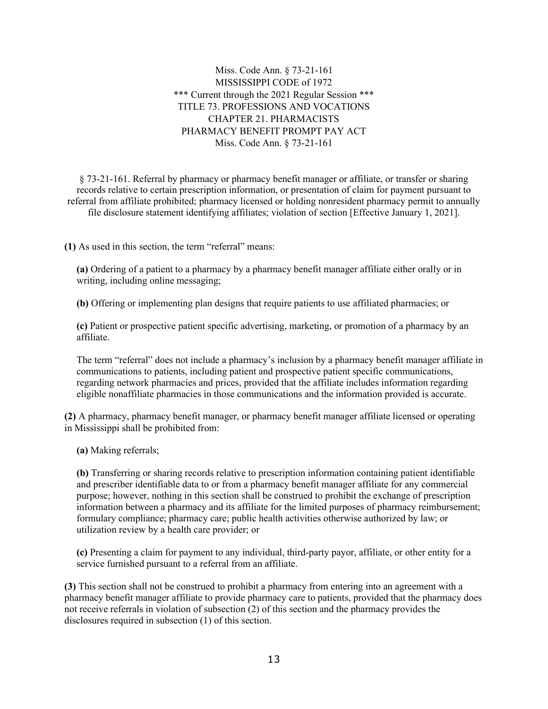Miss. Code Ann. § 73-21-161 MISSISSIPPI CODE of 1972 \*\*\* Current through the 2021 Regular Session \*\*\* TITLE 73. PROFESSIONS AND VOCATIONS CHAPTER 21. PHARMACISTS PHARMACY BENEFIT PROMPT PAY ACT Miss. Code Ann. § 73-21-161

§ 73-21-161. Referral by pharmacy or pharmacy benefit manager or affiliate, or transfer or sharing records relative to certain prescription information, or presentation of claim for payment pursuant to referral from affiliate prohibited; pharmacy licensed or holding nonresident pharmacy permit to annually file disclosure statement identifying affiliates; violation of section [Effective January 1, 2021].

**(1)** As used in this section, the term "referral" means:

**(a)** Ordering of a patient to a pharmacy by a pharmacy benefit manager affiliate either orally or in writing, including online messaging;

**(b)** Offering or implementing plan designs that require patients to use affiliated pharmacies; or

**(c)** Patient or prospective patient specific advertising, marketing, or promotion of a pharmacy by an affiliate.

The term "referral" does not include a pharmacy's inclusion by a pharmacy benefit manager affiliate in communications to patients, including patient and prospective patient specific communications, regarding network pharmacies and prices, provided that the affiliate includes information regarding eligible nonaffiliate pharmacies in those communications and the information provided is accurate.

**(2)** A pharmacy, pharmacy benefit manager, or pharmacy benefit manager affiliate licensed or operating in Mississippi shall be prohibited from:

**(a)** Making referrals;

**(b)** Transferring or sharing records relative to prescription information containing patient identifiable and prescriber identifiable data to or from a pharmacy benefit manager affiliate for any commercial purpose; however, nothing in this section shall be construed to prohibit the exchange of prescription information between a pharmacy and its affiliate for the limited purposes of pharmacy reimbursement; formulary compliance; pharmacy care; public health activities otherwise authorized by law; or utilization review by a health care provider; or

**(c)** Presenting a claim for payment to any individual, third-party payor, affiliate, or other entity for a service furnished pursuant to a referral from an affiliate.

**(3)** This section shall not be construed to prohibit a pharmacy from entering into an agreement with a pharmacy benefit manager affiliate to provide pharmacy care to patients, provided that the pharmacy does not receive referrals in violation of subsection (2) of this section and the pharmacy provides the disclosures required in subsection (1) of this section.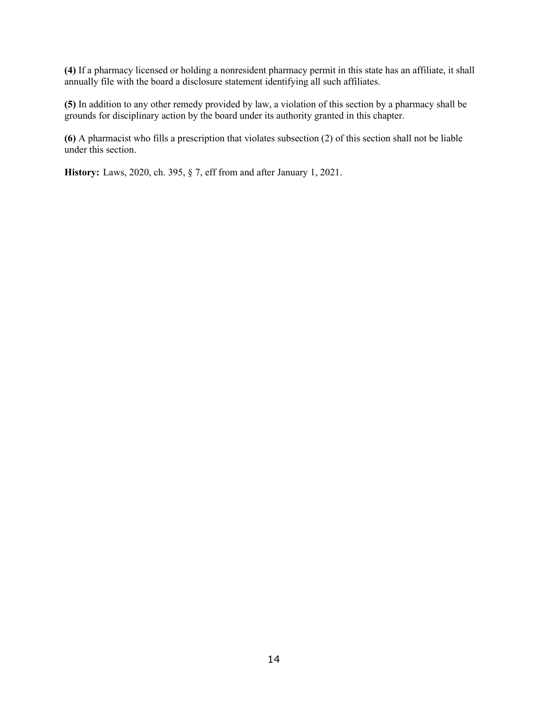**(4)** If a pharmacy licensed or holding a nonresident pharmacy permit in this state has an affiliate, it shall annually file with the board a disclosure statement identifying all such affiliates.

**(5)** In addition to any other remedy provided by law, a violation of this section by a pharmacy shall be grounds for disciplinary action by the board under its authority granted in this chapter.

**(6)** A pharmacist who fills a prescription that violates subsection (2) of this section shall not be liable under this section.

**History:** Laws, 2020, ch. 395, § 7, eff from and after January 1, 2021.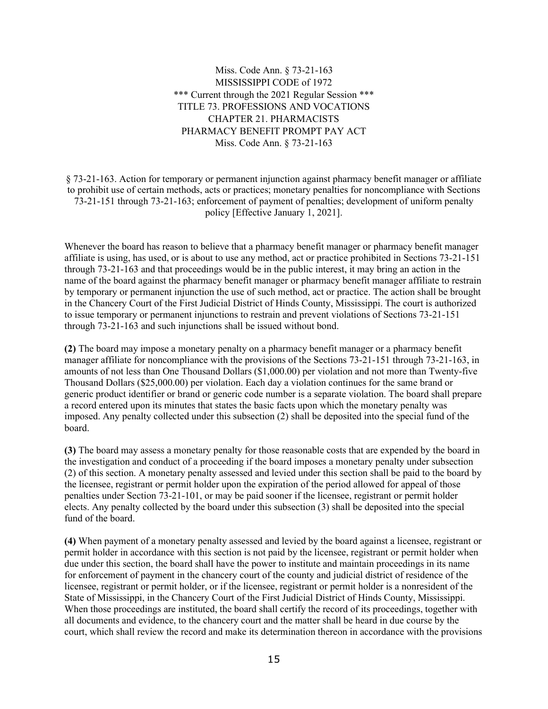Miss. Code Ann. § 73-21-163 MISSISSIPPI CODE of 1972 \*\*\* Current through the 2021 Regular Session \*\*\* TITLE 73. PROFESSIONS AND VOCATIONS CHAPTER 21. PHARMACISTS PHARMACY BENEFIT PROMPT PAY ACT Miss. Code Ann. § 73-21-163

§ 73-21-163. Action for temporary or permanent injunction against pharmacy benefit manager or affiliate to prohibit use of certain methods, acts or practices; monetary penalties for noncompliance with Sections 73-21-151 through 73-21-163; enforcement of payment of penalties; development of uniform penalty policy [Effective January 1, 2021].

Whenever the board has reason to believe that a pharmacy benefit manager or pharmacy benefit manager affiliate is using, has used, or is about to use any method, act or practice prohibited in Sections 73-21-151 through 73-21-163 and that proceedings would be in the public interest, it may bring an action in the name of the board against the pharmacy benefit manager or pharmacy benefit manager affiliate to restrain by temporary or permanent injunction the use of such method, act or practice. The action shall be brought in the Chancery Court of the First Judicial District of Hinds County, Mississippi. The court is authorized to issue temporary or permanent injunctions to restrain and prevent violations of Sections 73-21-151 through 73-21-163 and such injunctions shall be issued without bond.

**(2)** The board may impose a monetary penalty on a pharmacy benefit manager or a pharmacy benefit manager affiliate for noncompliance with the provisions of the Sections 73-21-151 through 73-21-163, in amounts of not less than One Thousand Dollars (\$1,000.00) per violation and not more than Twenty-five Thousand Dollars (\$25,000.00) per violation. Each day a violation continues for the same brand or generic product identifier or brand or generic code number is a separate violation. The board shall prepare a record entered upon its minutes that states the basic facts upon which the monetary penalty was imposed. Any penalty collected under this subsection (2) shall be deposited into the special fund of the board.

**(3)** The board may assess a monetary penalty for those reasonable costs that are expended by the board in the investigation and conduct of a proceeding if the board imposes a monetary penalty under subsection (2) of this section. A monetary penalty assessed and levied under this section shall be paid to the board by the licensee, registrant or permit holder upon the expiration of the period allowed for appeal of those penalties under Section 73-21-101, or may be paid sooner if the licensee, registrant or permit holder elects. Any penalty collected by the board under this subsection (3) shall be deposited into the special fund of the board.

**(4)** When payment of a monetary penalty assessed and levied by the board against a licensee, registrant or permit holder in accordance with this section is not paid by the licensee, registrant or permit holder when due under this section, the board shall have the power to institute and maintain proceedings in its name for enforcement of payment in the chancery court of the county and judicial district of residence of the licensee, registrant or permit holder, or if the licensee, registrant or permit holder is a nonresident of the State of Mississippi, in the Chancery Court of the First Judicial District of Hinds County, Mississippi. When those proceedings are instituted, the board shall certify the record of its proceedings, together with all documents and evidence, to the chancery court and the matter shall be heard in due course by the court, which shall review the record and make its determination thereon in accordance with the provisions